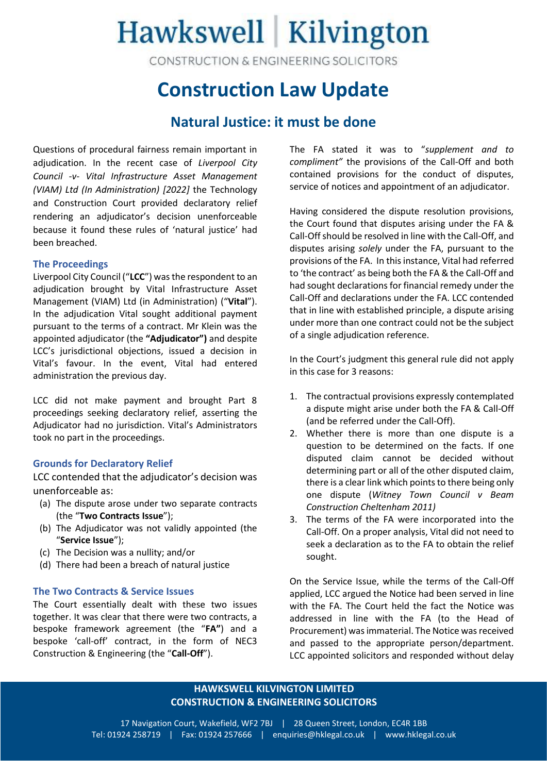# Hawkswell Kilvington

CONSTRUCTION & ENGINEERING SOLICITORS

### **Construction Law Update**

### **Natural Justice: it must be done**

Questions of procedural fairness remain important in adjudication. In the recent case of *Liverpool City Council -v- Vital Infrastructure Asset Management (VIAM) Ltd (In Administration) [2022]* the Technology and Construction Court provided declaratory relief rendering an adjudicator's decision unenforceable because it found these rules of 'natural justice' had been breached.

### **The Proceedings**

Liverpool City Council ("**LCC**") was the respondent to an adjudication brought by Vital Infrastructure Asset Management (VIAM) Ltd (in Administration) ("**Vital**"). In the adjudication Vital sought additional payment pursuant to the terms of a contract. Mr Klein was the appointed adjudicator (the **"Adjudicator")** and despite LCC's jurisdictional objections, issued a decision in Vital's favour. In the event, Vital had entered administration the previous day.

LCC did not make payment and brought Part 8 proceedings seeking declaratory relief, asserting the Adjudicator had no jurisdiction. Vital's Administrators took no part in the proceedings.

### **Grounds for Declaratory Relief**

LCC contended that the adjudicator's decision was unenforceable as:

- (a) The dispute arose under two separate contracts (the "**Two Contracts Issue**");
- (b) The Adjudicator was not validly appointed (the "**Service Issue**");
- (c) The Decision was a nullity; and/or
- (d) There had been a breach of natural justice

### **The Two Contracts & Service Issues**

The Court essentially dealt with these two issues together. It was clear that there were two contracts, a bespoke framework agreement (the "**FA"**) and a bespoke 'call-off' contract, in the form of NEC3 Construction & Engineering (the "**Call-Off**").

The FA stated it was to "*supplement and to compliment"* the provisions of the Call-Off and both contained provisions for the conduct of disputes, service of notices and appointment of an adjudicator.

Having considered the dispute resolution provisions, the Court found that disputes arising under the FA & Call-Off should be resolved in line with the Call-Off, and disputes arising *solely* under the FA, pursuant to the provisions of the FA. In this instance, Vital had referred to 'the contract' as being both the FA & the Call-Off and had sought declarations for financial remedy under the Call-Off and declarations under the FA. LCC contended that in line with established principle, a dispute arising under more than one contract could not be the subject of a single adjudication reference.

In the Court's judgment this general rule did not apply in this case for 3 reasons:

- 1. The contractual provisions expressly contemplated a dispute might arise under both the FA & Call-Off (and be referred under the Call-Off).
- 2. Whether there is more than one dispute is a question to be determined on the facts. If one disputed claim cannot be decided without determining part or all of the other disputed claim, there is a clear link which points to there being only one dispute (*Witney Town Council v Beam Construction Cheltenham 2011)*
- 3. The terms of the FA were incorporated into the Call-Off. On a proper analysis, Vital did not need to seek a declaration as to the FA to obtain the relief sought.

On the Service Issue, while the terms of the Call-Off applied, LCC argued the Notice had been served in line with the FA. The Court held the fact the Notice was addressed in line with the FA (to the Head of Procurement) wasimmaterial. The Notice was received and passed to the appropriate person/department. LCC appointed solicitors and responded without delay

### **HAWKSWELL KILVINGTON LIMITED CONSTRUCTION & ENGINEERING SOLICITORS**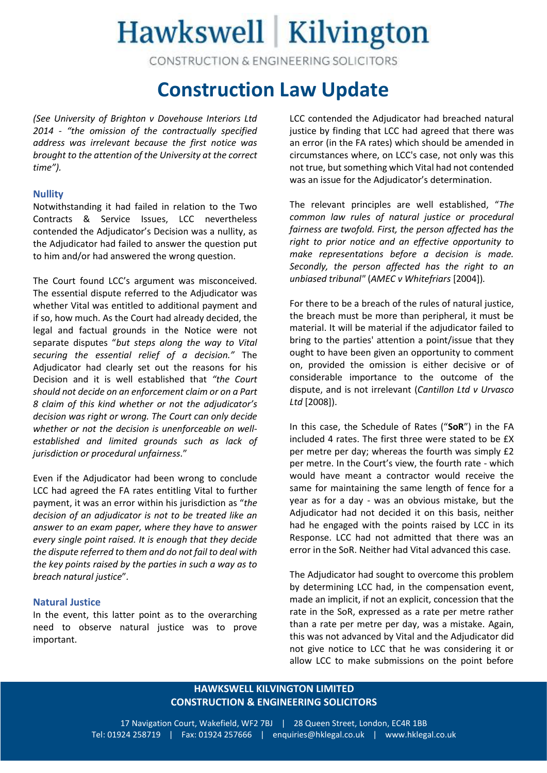# Hawkswell | Kilvington

CONSTRUCTION & ENGINEERING SOLICITORS

## **Construction Law Update**

*(See University of Brighton v Dovehouse Interiors Ltd 2014 - "the omission of the contractually specified address was irrelevant because the first notice was brought to the attention of the University at the correct time").*

### **Nullity**

Notwithstanding it had failed in relation to the Two Contracts & Service Issues, LCC nevertheless contended the Adjudicator's Decision was a nullity, as the Adjudicator had failed to answer the question put to him and/or had answered the wrong question.

The Court found LCC's argument was misconceived. The essential dispute referred to the Adjudicator was whether Vital was entitled to additional payment and if so, how much. As the Court had already decided, the legal and factual grounds in the Notice were not separate disputes "*but steps along the way to Vital securing the essential relief of a decision."* The Adjudicator had clearly set out the reasons for his Decision and it is well established that *"the Court should not decide on an enforcement claim or on a Part 8 claim of this kind whether or not the adjudicator's decision was right or wrong. The Court can only decide whether or not the decision is unenforceable on wellestablished and limited grounds such as lack of jurisdiction or procedural unfairness.*"

Even if the Adjudicator had been wrong to conclude LCC had agreed the FA rates entitling Vital to further payment, it was an error within his jurisdiction as "*the decision of an adjudicator is not to be treated like an answer to an exam paper, where they have to answer every single point raised. It is enough that they decide the dispute referred to them and do not fail to deal with the key points raised by the parties in such a way as to breach natural justice*"*.*

### **Natural Justice**

In the event, this latter point as to the overarching need to observe natural justice was to prove important.

LCC contended the Adjudicator had breached natural justice by finding that LCC had agreed that there was an error (in the FA rates) which should be amended in circumstances where, on LCC's case, not only was this not true, but something which Vital had not contended was an issue for the Adjudicator's determination.

The relevant principles are well established, "*The common law rules of natural justice or procedural fairness are twofold. First, the person affected has the right to prior notice and an effective opportunity to make representations before a decision is made. Secondly, the person affected has the right to an unbiased tribunal"* (*AMEC v Whitefriars* [2004])*.*

For there to be a breach of the rules of natural justice, the breach must be more than peripheral, it must be material. It will be material if the adjudicator failed to bring to the parties' attention a point/issue that they ought to have been given an opportunity to comment on, provided the omission is either decisive or of considerable importance to the outcome of the dispute, and is not irrelevant (*Cantillon Ltd v Urvasco Ltd* [2008]).

In this case, the Schedule of Rates ("**SoR**") in the FA included 4 rates. The first three were stated to be £X per metre per day; whereas the fourth was simply £2 per metre. In the Court's view, the fourth rate - which would have meant a contractor would receive the same for maintaining the same length of fence for a year as for a day - was an obvious mistake, but the Adjudicator had not decided it on this basis, neither had he engaged with the points raised by LCC in its Response. LCC had not admitted that there was an error in the SoR. Neither had Vital advanced this case.

The Adjudicator had sought to overcome this problem by determining LCC had, in the compensation event, made an implicit, if not an explicit, concession that the rate in the SoR, expressed as a rate per metre rather than a rate per metre per day, was a mistake. Again, this was not advanced by Vital and the Adjudicator did not give notice to LCC that he was considering it or allow LCC to make submissions on the point before

### **HAWKSWELL KILVINGTON LIMITED CONSTRUCTION & ENGINEERING SOLICITORS**